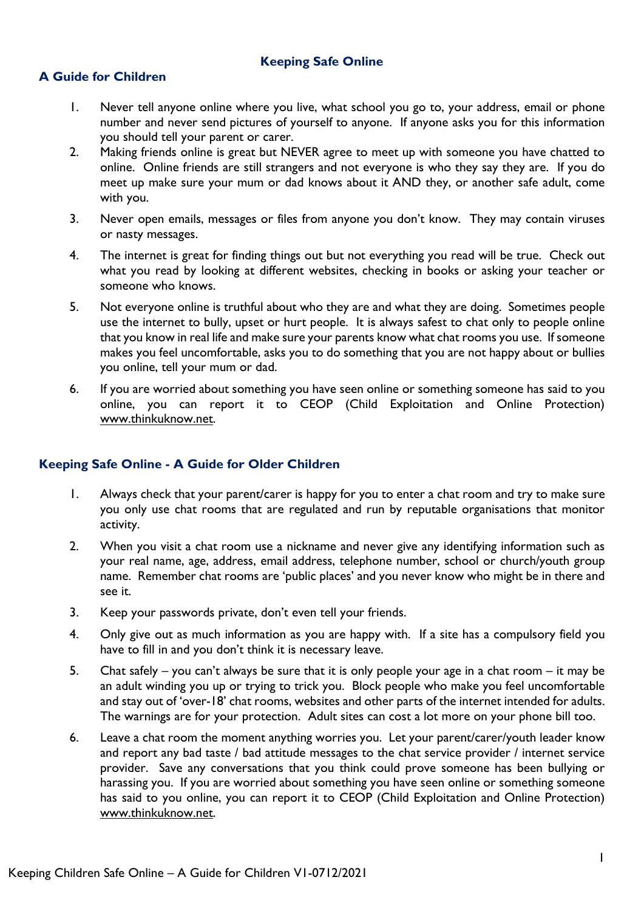### **Keeping Safe Online**

## **A Guide for Children**

- 1. Never tell anyone online where you live, what school you go to, your address, email or phone number and never send pictures of yourself to anyone. If anyone asks you for this information you should tell your parent or carer.
- 2. Making friends online is great but NEVER agree to meet up with someone you have chatted to online. Online friends are still strangers and not everyone is who they say they are. If you do meet up make sure your mum or dad knows about it AND they, or another safe adult, come with you.
- 3. Never open emails, messages or files from anyone you don't know. They may contain viruses or nasty messages.
- 4. The internet is great for finding things out but not everything you read will be true. Check out what you read by looking at different websites, checking in books or asking your teacher or someone who knows.
- 5. Not everyone online is truthful about who they are and what they are doing. Sometimes people use the internet to bully, upset or hurt people. It is always safest to chat only to people online that you know in real life and make sure your parents know what chat rooms you use. If someone makes you feel uncomfortable, asks you to do something that you are not happy about or bullies you online, tell your mum or dad.
- 6. If you are worried about something you have seen online or something someone has said to you online, you can report it to CEOP (Child Exploitation and Online Protection) [www.thinkuknow.net.](http://www.thinkuknow.net/)

#### **Keeping Safe Online - A Guide for Older Children**

- 1. Always check that your parent/carer is happy for you to enter a chat room and try to make sure you only use chat rooms that are regulated and run by reputable organisations that monitor activity.
- 2. When you visit a chat room use a nickname and never give any identifying information such as your real name, age, address, email address, telephone number, school or church/youth group name. Remember chat rooms are 'public places' and you never know who might be in there and see it.
- 3. Keep your passwords private, don't even tell your friends.
- 4. Only give out as much information as you are happy with. If a site has a compulsory field you have to fill in and you don't think it is necessary leave.
- 5. Chat safely you can't always be sure that it is only people your age in a chat room it may be an adult winding you up or trying to trick you. Block people who make you feel uncomfortable and stay out of 'over-18' chat rooms, websites and other parts of the internet intended for adults. The warnings are for your protection. Adult sites can cost a lot more on your phone bill too.
- 6. Leave a chat room the moment anything worries you. Let your parent/carer/youth leader know and report any bad taste / bad attitude messages to the chat service provider / internet service provider. Save any conversations that you think could prove someone has been bullying or harassing you. If you are worried about something you have seen online or something someone has said to you online, you can report it to CEOP (Child Exploitation and Online Protection) [www.thinkuknow.net.](http://www.thinkuknow.net/)